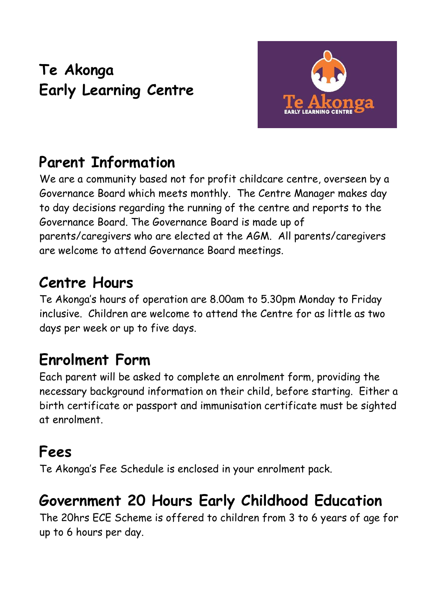## **Te Akonga Early Learning Centre**



### **Parent Information**

We are a community based not for profit childcare centre, overseen by a Governance Board which meets monthly. The Centre Manager makes day to day decisions regarding the running of the centre and reports to the Governance Board. The Governance Board is made up of parents/caregivers who are elected at the AGM. All parents/caregivers are welcome to attend Governance Board meetings.

#### **Centre Hours**

Te Akonga's hours of operation are 8.00am to 5.30pm Monday to Friday inclusive. Children are welcome to attend the Centre for as little as two days per week or up to five days.

#### **Enrolment Form**

Each parent will be asked to complete an enrolment form, providing the necessary background information on their child, before starting. Either a birth certificate or passport and immunisation certificate must be sighted at enrolment.

#### **Fees**

Te Akonga's Fee Schedule is enclosed in your enrolment pack.

#### **Government 20 Hours Early Childhood Education**

The 20hrs ECE Scheme is offered to children from 3 to 6 years of age for up to 6 hours per day.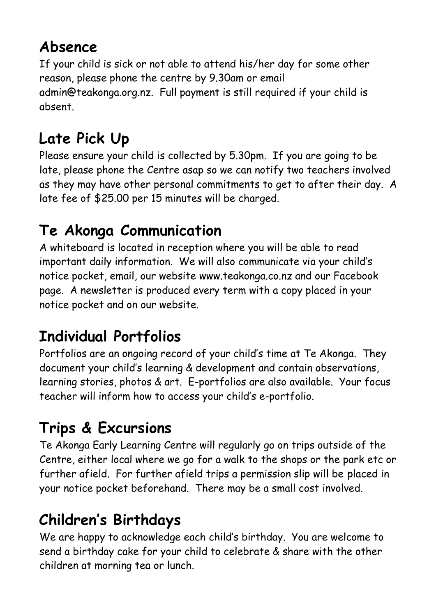### **Absence**

If your child is sick or not able to attend his/her day for some other reason, please phone the centre by 9.30am or email [admin@teakonga.org.nz.](mailto:admin@teakonga.org.nz) Full payment is still required if your child is absent.

# **Late Pick Up**

Please ensure your child is collected by 5.30pm. If you are going to be late, please phone the Centre asap so we can notify two teachers involved as they may have other personal commitments to get to after their day. A late fee of \$25.00 per 15 minutes will be charged.

## **Te Akonga Communication**

A whiteboard is located in reception where you will be able to read important daily information. We will also communicate via your child's notice pocket, email, our website [www.teakonga.co.nz](http://www.teakonga.co.nz/) and our Facebook page. A newsletter is produced every term with a copy placed in your notice pocket and on our website.

## **Individual Portfolios**

Portfolios are an ongoing record of your child's time at Te Akonga. They document your child's learning & development and contain observations, learning stories, photos & art. E-portfolios are also available. Your focus teacher will inform how to access your child's e-portfolio.

## **Trips & Excursions**

Te Akonga Early Learning Centre will regularly go on trips outside of the Centre, either local where we go for a walk to the shops or the park etc or further afield. For further afield trips a permission slip will be placed in your notice pocket beforehand. There may be a small cost involved.

## **Children's Birthdays**

We are happy to acknowledge each child's birthday. You are welcome to send a birthday cake for your child to celebrate & share with the other children at morning tea or lunch.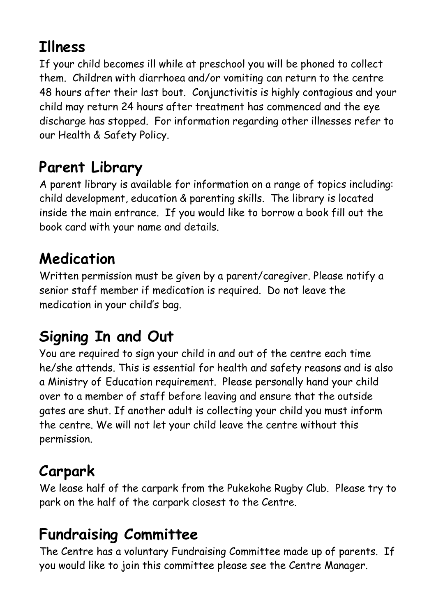### **Illness**

If your child becomes ill while at preschool you will be phoned to collect them. Children with diarrhoea and/or vomiting can return to the centre 48 hours after their last bout. Conjunctivitis is highly contagious and your child may return 24 hours after treatment has commenced and the eye discharge has stopped. For information regarding other illnesses refer to our Health & Safety Policy.

### **Parent Library**

A parent library is available for information on a range of topics including: child development, education & parenting skills. The library is located inside the main entrance. If you would like to borrow a book fill out the book card with your name and details.

### **Medication**

Written permission must be given by a parent/caregiver. Please notify a senior staff member if medication is required. Do not leave the medication in your child's bag.

### **Signing In and Out**

You are required to sign your child in and out of the centre each time he/she attends. This is essential for health and safety reasons and is also a Ministry of Education requirement. Please personally hand your child over to a member of staff before leaving and ensure that the outside gates are shut. If another adult is collecting your child you must inform the centre. We will not let your child leave the centre without this permission.

#### **Carpark**

We lease half of the carpark from the Pukekohe Rugby Club. Please try to park on the half of the carpark closest to the Centre.

## **Fundraising Committee**

The Centre has a voluntary Fundraising Committee made up of parents. If you would like to join this committee please see the Centre Manager.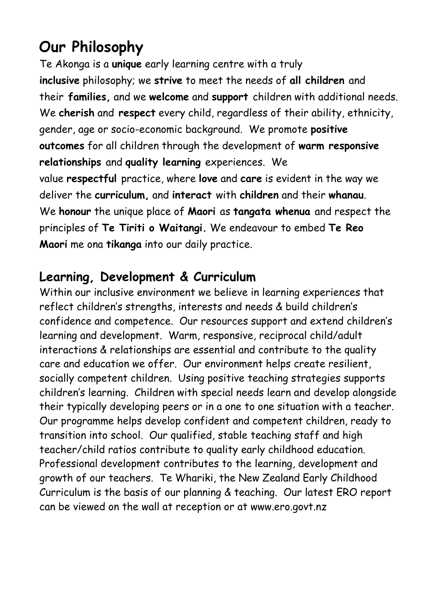#### **Our Philosophy**

Te Akonga is a **unique** early learning centre with a truly **inclusive** philosophy; we **strive** to meet the needs of **all children** and their **families,** and we **welcome** and **support** children with additional needs. We **cherish** and **respect** every child, regardless of their ability, ethnicity, gender, age or socio-economic background. We promote **positive outcomes** for all children through the development of **warm responsive relationships** and **quality learning** experiences. We value **respectful** practice, where **love** and **care** is evident in the way we deliver the **curriculum,** and **interact** with **children** and their **whanau**. We **honour** the unique place of **Maori** as **tangata whenua** and respect the principles of **Te Tiriti o Waitangi.** We endeavour to embed **Te Reo Maori** me ona **tikanga** into our daily practice.

#### **Learning, Development & Curriculum**

Within our inclusive environment we believe in learning experiences that reflect children's strengths, interests and needs & build children's confidence and competence. Our resources support and extend children's learning and development. Warm, responsive, reciprocal child/adult interactions & relationships are essential and contribute to the quality care and education we offer. Our environment helps create resilient, socially competent children. Using positive teaching strategies supports children's learning. Children with special needs learn and develop alongside their typically developing peers or in a one to one situation with a teacher. Our programme helps develop confident and competent children, ready to transition into school. Our qualified, stable teaching staff and high teacher/child ratios contribute to quality early childhood education. Professional development contributes to the learning, development and growth of our teachers. Te Whariki, the New Zealand Early Childhood Curriculum is the basis of our planning & teaching. Our latest ERO report can be viewed on the wall at reception or at www.ero.govt.nz